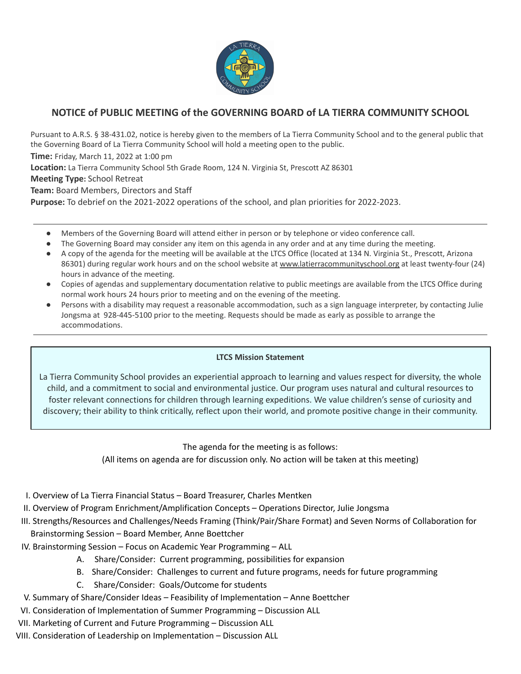

# **NOTICE of PUBLIC MEETING of the GOVERNING BOARD of LA TIERRA COMMUNITY SCHOOL**

Pursuant to A.R.S. § 38-431.02, notice is hereby given to the members of La Tierra Community School and to the general public that the Governing Board of La Tierra Community School will hold a meeting open to the public.

**Time:** Friday, March 11, 2022 at 1:00 pm

**Location:** La Tierra Community School 5th Grade Room, 124 N. Virginia St, Prescott AZ 86301

**Meeting Type:** School Retreat

**Team:** Board Members, Directors and Staff

**Purpose:** To debrief on the 2021-2022 operations of the school, and plan priorities for 2022-2023.

- Members of the Governing Board will attend either in person or by telephone or video conference call.
- The Governing Board may consider any item on this agenda in any order and at any time during the meeting.
- A copy of the agenda for the meeting will be available at the LTCS Office (located at 134 N. Virginia St., Prescott, Arizona 86301) during regular work hours and on the school website at [www.latierracommunityschool.org](http://www.latierracommunityschool.org) at least twenty-four (24) hours in advance of the meeting.
- Copies of agendas and supplementary documentation relative to public meetings are available from the LTCS Office during normal work hours 24 hours prior to meeting and on the evening of the meeting.
- Persons with a disability may request a reasonable accommodation, such as a sign language interpreter, by contacting Julie Jongsma at 928-445-5100 prior to the meeting. Requests should be made as early as possible to arrange the accommodations.

### **LTCS Mission Statement**

La Tierra Community School provides an experiential approach to learning and values respect for diversity, the whole child, and a commitment to social and environmental justice. Our program uses natural and cultural resources to foster relevant connections for children through learning expeditions. We value children's sense of curiosity and discovery; their ability to think critically, reflect upon their world, and promote positive change in their community.

### The agenda for the meeting is as follows:

(All items on agenda are for discussion only. No action will be taken at this meeting)

- I. Overview of La Tierra Financial Status Board Treasurer, Charles Mentken
- II. Overview of Program Enrichment/Amplification Concepts Operations Director, Julie Jongsma
- III. Strengths/Resources and Challenges/Needs Framing (Think/Pair/Share Format) and Seven Norms of Collaboration for Brainstorming Session – Board Member, Anne Boettcher
- IV. Brainstorming Session Focus on Academic Year Programming ALL
	- A. Share/Consider: Current programming, possibilities for expansion
	- B. Share/Consider: Challenges to current and future programs, needs for future programming
	- C. Share/Consider: Goals/Outcome for students
- V. Summary of Share/Consider Ideas Feasibility of Implementation Anne Boettcher
- VI. Consideration of Implementation of Summer Programming Discussion ALL
- VII. Marketing of Current and Future Programming Discussion ALL
- VIII. Consideration of Leadership on Implementation Discussion ALL